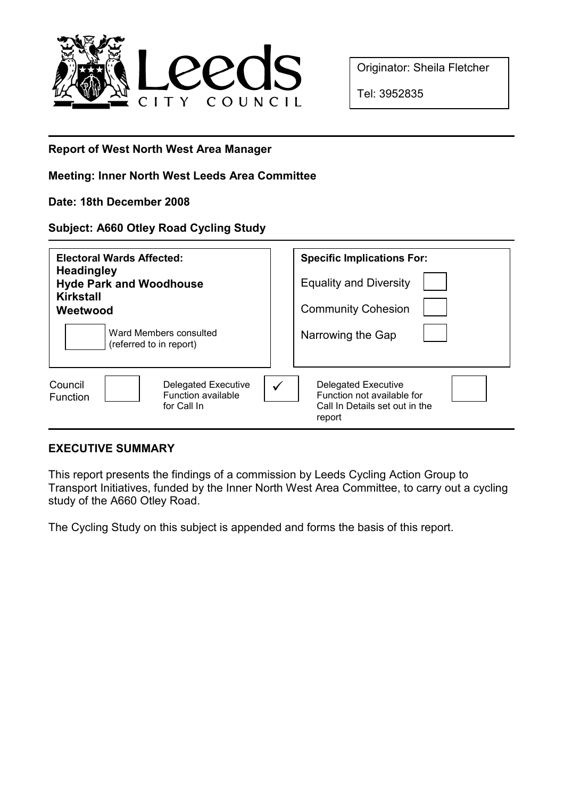

Originator: Sheila Fletcher

Tel: 3952835

## Report of West North West Area Manager

# Meeting: Inner North West Leeds Area Committee

Date: 18th December 2008

### Subject: A660 Otley Road Cycling Study

| <b>Electoral Wards Affected:</b><br><b>Headingley</b><br><b>Hyde Park and Woodhouse</b><br><b>Kirkstall</b><br>Weetwood | <b>Specific Implications For:</b><br><b>Equality and Diversity</b><br><b>Community Cohesion</b>      |
|-------------------------------------------------------------------------------------------------------------------------|------------------------------------------------------------------------------------------------------|
| Ward Members consulted<br>(referred to in report)                                                                       | Narrowing the Gap                                                                                    |
| Delegated Executive<br>Council<br>Function available<br><b>Function</b><br>for Call In                                  | <b>Delegated Executive</b><br>Function not available for<br>Call In Details set out in the<br>report |

## EXECUTIVE SUMMARY

This report presents the findings of a commission by Leeds Cycling Action Group to Transport Initiatives, funded by the Inner North West Area Committee, to carry out a cycling study of the A660 Otley Road.

The Cycling Study on this subject is appended and forms the basis of this report.